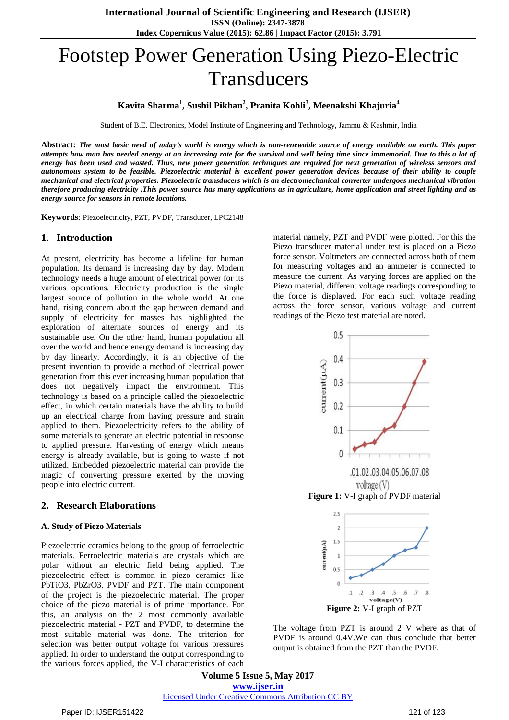# Footstep Power Generation Using Piezo-Electric **Transducers**

## **Kavita Sharma<sup>1</sup> , Sushil Pikhan<sup>2</sup> , Pranita Kohli<sup>3</sup> , Meenakshi Khajuria<sup>4</sup>**

Student of B.E. Electronics, Model Institute of Engineering and Technology, Jammu & Kashmir, India

Abstract: The most basic need of today's world is energy which is non-renewable source of energy available on earth. This paper attempts how man has needed energy at an increasing rate for the survival and well being time since immemorial. Due to this a lot of energy has been used and wasted. Thus, new power generation techniques are required for next generation of wireless sensors and autonomous system to be feasible. Piezoelectric material is excellent power generation devices because of their ability to couple mechanical and electrical properties. Piezoelectric transducers which is an electromechanical converter undergoes mechanical vibration therefore producing electricity. This power source has many applications as in agriculture, home application and street lighting and as *energy source for sensors in remote locations.*

**Keywords**: Piezoelectricity, PZT, PVDF, Transducer, LPC2148

#### **1. Introduction**

At present, electricity has become a lifeline for human population. Its demand is increasing day by day. Modern technology needs a huge amount of electrical power for its various operations. Electricity production is the single largest source of pollution in the whole world. At one hand, rising concern about the gap between demand and supply of electricity for masses has highlighted the exploration of alternate sources of energy and its sustainable use. On the other hand, human population all over the world and hence energy demand is increasing day by day linearly. Accordingly, it is an objective of the present invention to provide a method of electrical power generation from this ever increasing human population that does not negatively impact the environment. This technology is based on a principle called the piezoelectric effect, in which certain materials have the ability to build up an electrical charge from having pressure and strain applied to them. Piezoelectricity refers to the ability of some materials to generate an electric potential in response to applied pressure. Harvesting of energy which means energy is already available, but is going to waste if not utilized. Embedded piezoelectric material can provide the magic of converting pressure exerted by the moving people into electric current.

#### **2. Research Elaborations**

#### **A. Study of Piezo Materials**

Piezoelectric ceramics belong to the group of ferroelectric materials. Ferroelectric materials are crystals which are polar without an electric field being applied. The piezoelectric effect is common in piezo ceramics like PbTiO3, PbZrO3, PVDF and PZT. The main component of the project is the piezoelectric material. The proper choice of the piezo material is of prime importance. For this, an analysis on the 2 most commonly available piezoelectric material - PZT and PVDF, to determine the most suitable material was done. The criterion for selection was better output voltage for various pressures applied. In order to understand the output corresponding to the various forces applied, the V-I characteristics of each material namely, PZT and PVDF were plotted. For this the Piezo transducer material under test is placed on a Piezo force sensor. Voltmeters are connected across both of them for measuring voltages and an ammeter is connected to measure the current. As varying forces are applied on the Piezo material, different voltage readings corresponding to the force is displayed. For each such voltage reading across the force sensor, various voltage and current readings of the Piezo test material are noted.





The voltage from PZT is around 2 V where as that of PVDF is around 0.4V.We can thus conclude that better output is obtained from the PZT than the PVDF.

**Volume 5 Issue 5, May 2017 www.ijser.in** Licensed Under Creative Commons Attribution CC BY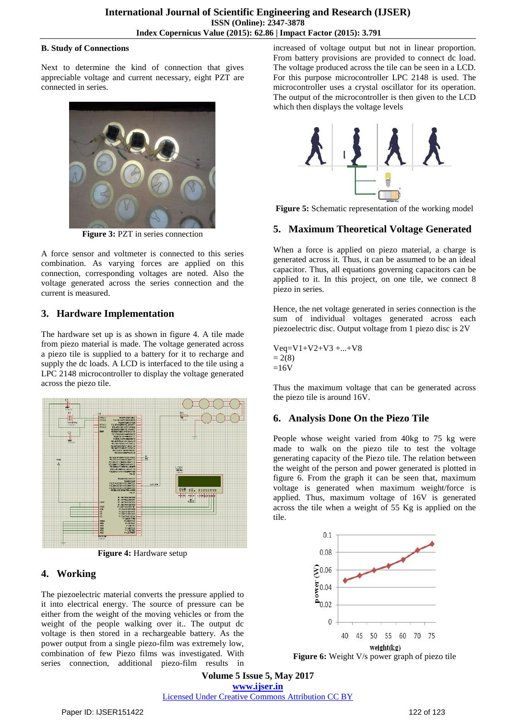#### **B. Study of Connections**

Next to determine the kind of connection that gives appreciable voltage and current necessary, eight PZT are connected in series.



**Figure 3:** PZT in series connection

A force sensor and voltmeter is connected to this series combination. As varying forces are applied on this connection, corresponding voltages are noted. Also the voltage generated across the series connection and the current is measured.

# **3. Hardware Implementation**

The hardware set up is as shown in figure 4. A tile made from piezo material is made. The voltage generated across a piezo tile is supplied to a battery for it to recharge and supply the dc loads. A LCD is interfaced to the tile using a LPC 2148 microcontroller to display the voltage generated across the piezo tile.



**Figure 4:** Hardware setup

# **4. Working**

The piezoelectric material converts the pressure applied to it into electrical energy. The source of pressure can be either from the weight of the moving vehicles or from the weight of the people walking over it.. The output dc voltage is then stored in a rechargeable battery. As the power output from a single piezo-film was extremely low, combination of few Piezo films was investigated. With series connection, additional piezo-film results in increased of voltage output but not in linear proportion. From battery provisions are provided to connect dc load. The voltage produced across the tile can be seen in a LCD. For this purpose microcontroller LPC 2148 is used. The microcontroller uses a crystal oscillator for its operation. The output of the microcontroller is then given to the LCD which then displays the voltage levels



**Figure 5:** Schematic representation of the working model

# **5. Maximum Theoretical Voltage Generated**

When a force is applied on piezo material, a charge is generated across it. Thus, it can be assumed to be an ideal capacitor. Thus, all equations governing capacitors can be applied to it. In this project, on one tile, we connect 8 piezo in series.

Hence, the net voltage generated in series connection is the sum of individual voltages generated across each piezoelectric disc. Output voltage from 1 piezo disc is 2V

Veq=V1+V2+V3 +...+V8  $= 2(8)$  $=16V$ 

Thus the maximum voltage that can be generated across the piezo tile is around 16V.

# **6. Analysis Done On the Piezo Tile**

People whose weight varied from 40kg to 75 kg were made to walk on the piezo tile to test the voltage generating capacity of the Piezo tile. The relation between the weight of the person and power generated is plotted in figure 6. From the graph it can be seen that, maximum voltage is generated when maximum weight/force is applied. Thus, maximum voltage of 16V is generated across the tile when a weight of 55 Kg is applied on the tile.



**Figure 6:** Weight V/s power graph of piezo tile

**Volume 5 Issue 5, May 2017 www.ijser.in** Licensed Under Creative Commons Attribution CC BY